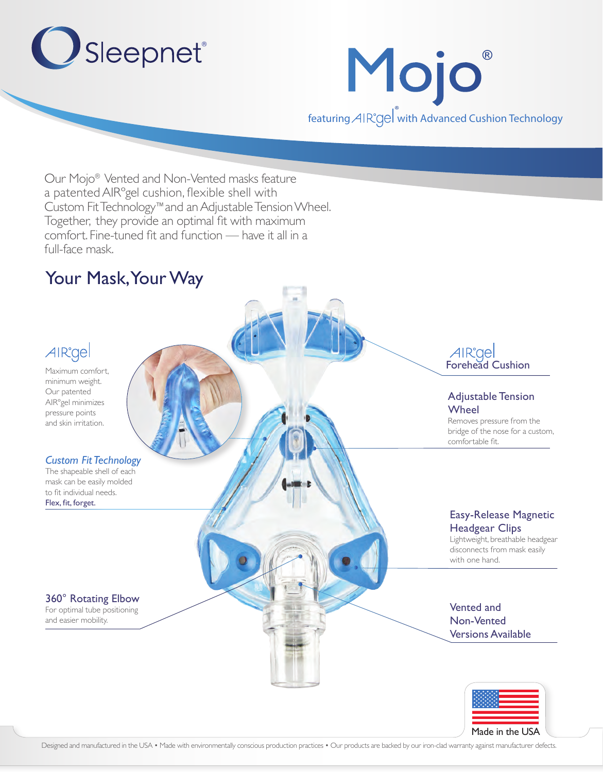



Our Mojo® Vented and Non-Vented masks feature a patented AIRºgel cushion, flexible shell with Custom Fit Technology™ and an Adjustable Tension Wheel. Together, they provide an optimal fit with maximum comfort. Fine-tuned fit and function — have it all in a full-face mask.

## Your Mask, Your Way



Maximum comfort, minimum weight. Our patented AIRºgel minimizes pressure points and skin irritation.

#### *Custom Fit Technology*

The shapeable shell of each mask can be easily molded to fit individual needs. Flex, fit, forget.

#### 360° Rotating Elbow

For optimal tube positioning and easier mobility.

AIR<sup>o</sup>gel<br>Forehead Cushion

#### Adjustable Tension Wheel

Removes pressure from the bridge of the nose for a custom, comfortable fit.

#### Easy-Release Magnetic Headgear Clips

Lightweight, breathable headgear disconnects from mask easily with one hand.

Vented and Non-Vented Versions Available



Designed and manufactured in the USA • Made with environmentally conscious production practices • Our products are backed by our iron-clad warranty against manufacturer defects.